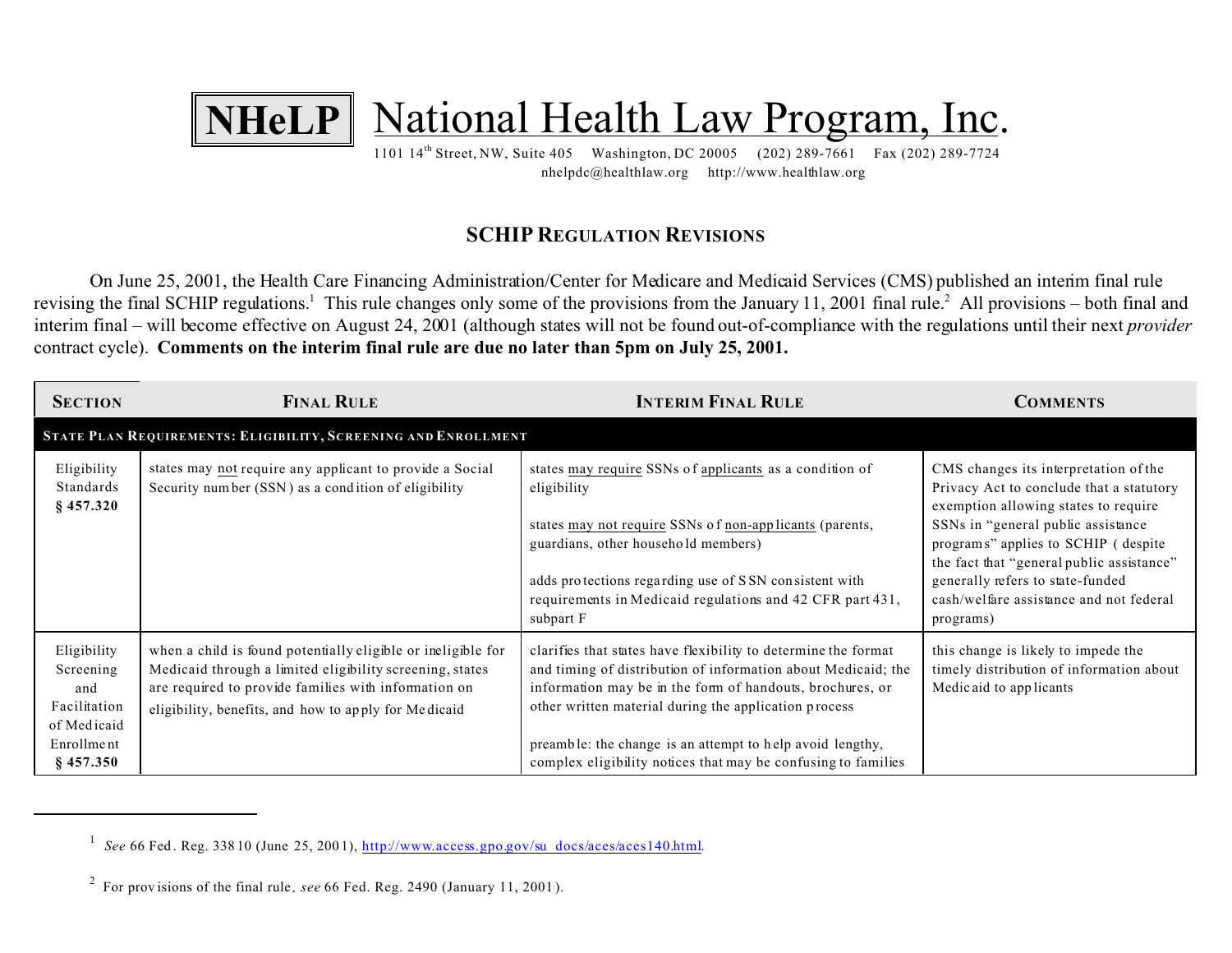

nhelpdc@healthlaw.org http://www.healthlaw.org

## **SCHIP REGULATION REVISIONS**

On June 25, 2001, the Health Care Financing Administration/Center for Medicare and Medicaid Services (CMS) published an interim final rule revising the final SCHIP regulations.<sup>1</sup> This rule changes only some of the provisions from the January 11, 2001 final rule.<sup>2</sup> All provisions – both final and interim final – will become effective on August 24, 2001 (although states will not be found out-of-compliance with the regulations until their next *provider* contract cycle). **Comments on the interim final rule are due no later than 5pm on July 25, 2001.**

| <b>SECTION</b>                                                                              | <b>FINAL RULE</b>                                                                                                                                                                                                                        | <b>INTERIM FINAL RULE</b>                                                                                                                                                                                                                                                                                                                                                           | <b>COMMENTS</b>                                                                                                                                                                                                                                                                                                                                 |
|---------------------------------------------------------------------------------------------|------------------------------------------------------------------------------------------------------------------------------------------------------------------------------------------------------------------------------------------|-------------------------------------------------------------------------------------------------------------------------------------------------------------------------------------------------------------------------------------------------------------------------------------------------------------------------------------------------------------------------------------|-------------------------------------------------------------------------------------------------------------------------------------------------------------------------------------------------------------------------------------------------------------------------------------------------------------------------------------------------|
|                                                                                             | STATE PLAN REQUIREMENTS: ELIGIBILITY, SCREENING AND ENROLLMENT                                                                                                                                                                           |                                                                                                                                                                                                                                                                                                                                                                                     |                                                                                                                                                                                                                                                                                                                                                 |
| Eligibility<br>Standards<br>$§$ 457.320                                                     | states may not require any applicant to provide a Social<br>Security number (SSN) as a condition of eligibility                                                                                                                          | states may require SSNs of applicants as a condition of<br>eligibility<br>states may not require SSNs of non-applicants (parents,<br>guardians, other household members)<br>adds protections regarding use of SSN consistent with<br>requirements in Medicaid regulations and 42 CFR part 431,<br>subpart F                                                                         | CMS changes its interpretation of the<br>Privacy Act to conclude that a statutory<br>exemption allowing states to require<br>SSNs in "general public assistance<br>programs" applies to SCHIP (despite<br>the fact that "general public assistance"<br>generally refers to state-funded<br>cash/welfare assistance and not federal<br>programs) |
| Eligibility<br>Screening<br>and<br>Facilitation<br>of Medicaid<br>Enrollment<br>$§$ 457.350 | when a child is found potentially eligible or ineligible for<br>Medicaid through a limited eligibility screening, states<br>are required to provide families with information on<br>eligibility, benefits, and how to apply for Medicaid | clarifies that states have flexibility to determine the format<br>and timing of distribution of information about Medicaid; the<br>information may be in the form of handouts, brochures, or<br>other written material during the application process<br>preamble: the change is an attempt to help avoid lengthy,<br>complex eligibility notices that may be confusing to families | this change is likely to impede the<br>timely distribution of information about<br>Medicaid to applicants                                                                                                                                                                                                                                       |

<sup>&</sup>lt;sup>1</sup> See 66 Fed. Reg. 338 10 (June 25, 2001), http://www.access.gpo.gov/su\_docs/aces/aces140.html.

<sup>2</sup> For prov isions of the final rule *, see* 66 Fed. Reg. 2490 (January 11, 2001 ).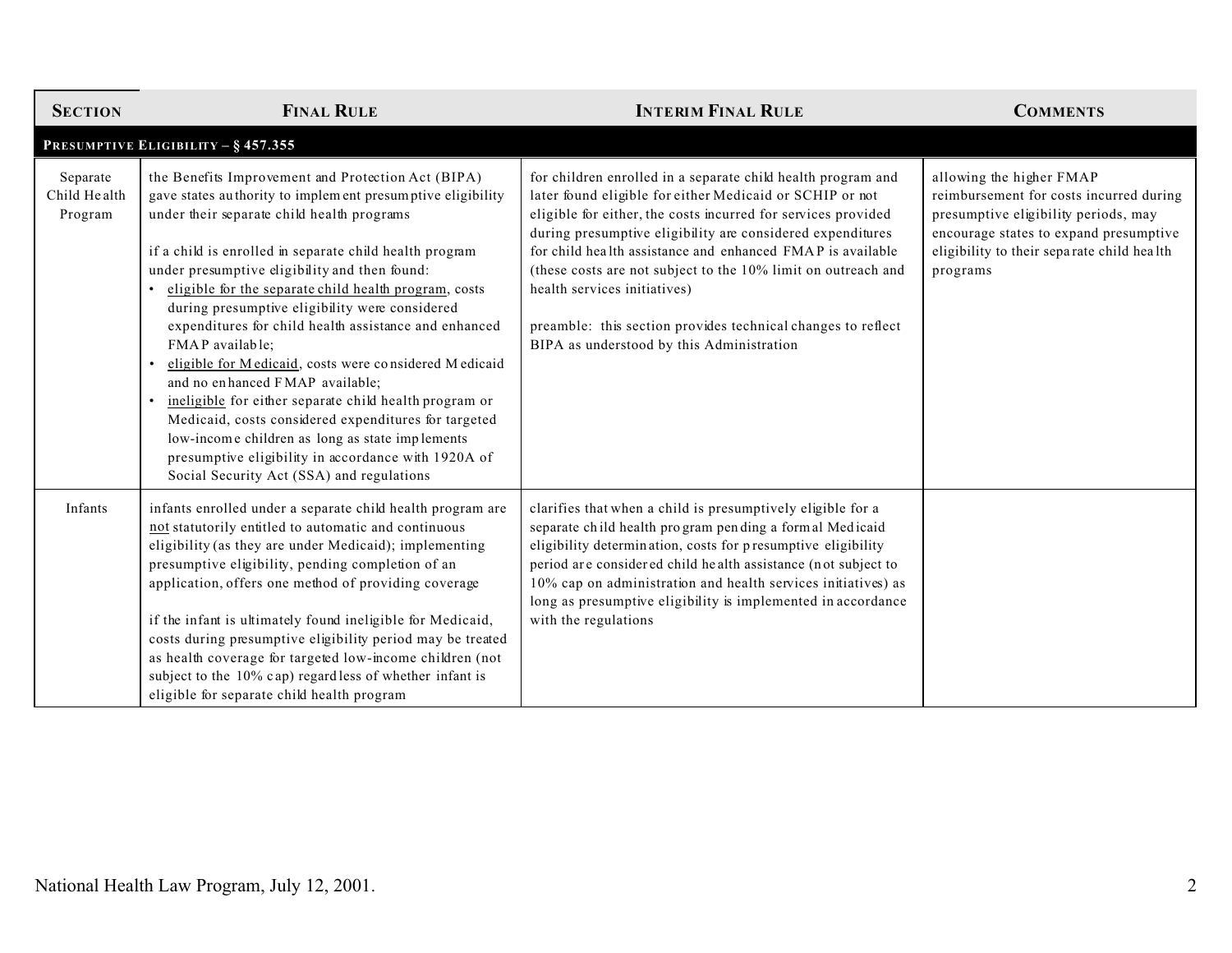| <b>SECTION</b>                      | <b>FINAL RULE</b>                                                                                                                                                                                                                                                                                                                                                                                                                                                                                                                                                                                                                                                                                                                                                                                                                      | <b>INTERIM FINAL RULE</b>                                                                                                                                                                                                                                                                                                                                                                                                                                                                                                           | <b>COMMENTS</b>                                                                                                                                                                                                 |
|-------------------------------------|----------------------------------------------------------------------------------------------------------------------------------------------------------------------------------------------------------------------------------------------------------------------------------------------------------------------------------------------------------------------------------------------------------------------------------------------------------------------------------------------------------------------------------------------------------------------------------------------------------------------------------------------------------------------------------------------------------------------------------------------------------------------------------------------------------------------------------------|-------------------------------------------------------------------------------------------------------------------------------------------------------------------------------------------------------------------------------------------------------------------------------------------------------------------------------------------------------------------------------------------------------------------------------------------------------------------------------------------------------------------------------------|-----------------------------------------------------------------------------------------------------------------------------------------------------------------------------------------------------------------|
|                                     | PRESUMPTIVE ELIGIBILITY - § 457.355                                                                                                                                                                                                                                                                                                                                                                                                                                                                                                                                                                                                                                                                                                                                                                                                    |                                                                                                                                                                                                                                                                                                                                                                                                                                                                                                                                     |                                                                                                                                                                                                                 |
| Separate<br>Child Health<br>Program | the Benefits Improvement and Protection Act (BIPA)<br>gave states authority to implement presumptive eligibility<br>under their separate child health programs<br>if a child is enrolled in separate child health program<br>under presumptive eligibility and then found:<br>eligible for the separate child health program, costs<br>during presumptive eligibility were considered<br>expenditures for child health assistance and enhanced<br>FMAP available;<br>eligible for Medicaid, costs were considered Medicaid<br>and no enhanced FMAP available;<br>ineligible for either separate child health program or<br>Medicaid, costs considered expenditures for targeted<br>low-income children as long as state implements<br>presumptive eligibility in accordance with 1920A of<br>Social Security Act (SSA) and regulations | for children enrolled in a separate child health program and<br>later found eligible for either Medicaid or SCHIP or not<br>eligible for either, the costs incurred for services provided<br>during presumptive eligibility are considered expenditures<br>for child health assistance and enhanced FMAP is available<br>(these costs are not subject to the 10% limit on outreach and<br>health services initiatives)<br>preamble: this section provides technical changes to reflect<br>BIPA as understood by this Administration | allowing the higher FMAP<br>reimbursement for costs incurred during<br>presumptive eligibility periods, may<br>encourage states to expand presumptive<br>eligibility to their separate child health<br>programs |
| Infants                             | infants enrolled under a separate child health program are<br>not statutorily entitled to automatic and continuous<br>eligibility (as they are under Medicaid); implementing<br>presumptive eligibility, pending completion of an<br>application, offers one method of providing coverage<br>if the infant is ultimately found ineligible for Medicaid,<br>costs during presumptive eligibility period may be treated<br>as health coverage for targeted low-income children (not<br>subject to the $10\%$ cap) regardless of whether infant is<br>eligible for separate child health program                                                                                                                                                                                                                                          | clarifies that when a child is presumptively eligible for a<br>separate child health program pending a formal Medicaid<br>eligibility determination, costs for presumptive eligibility<br>period are considered child health assistance (not subject to<br>10% cap on administration and health services initiatives) as<br>long as presumptive eligibility is implemented in accordance<br>with the regulations                                                                                                                    |                                                                                                                                                                                                                 |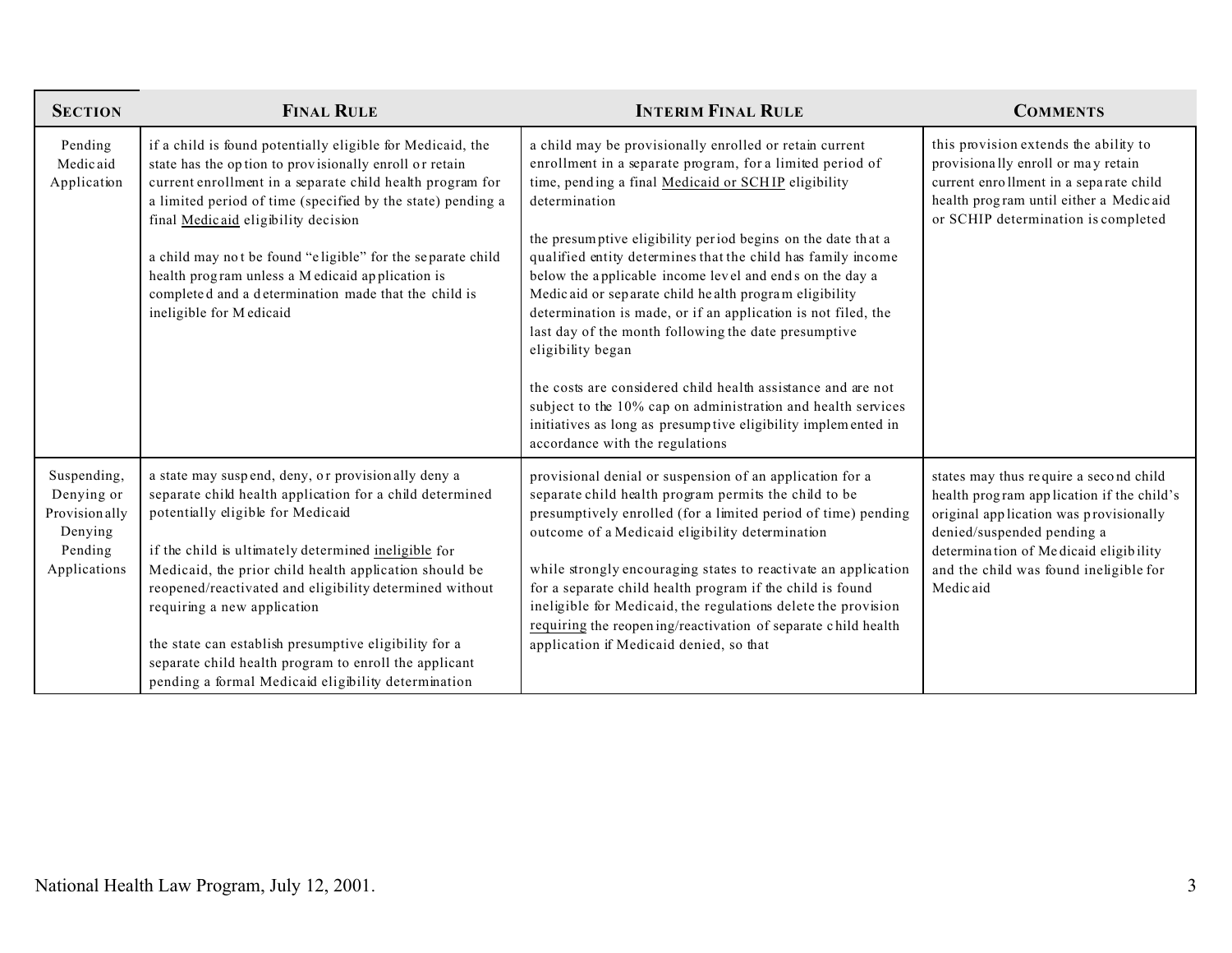| <b>SECTION</b>                                                                   | <b>FINAL RULE</b>                                                                                                                                                                                                                                                                                                                                                                                                                                                                                                                        | <b>INTERIM FINAL RULE</b>                                                                                                                                                                                                                                                                                                                                                                                                                                                                                                                                                                                                                                                                                                                                                                                                          | <b>COMMENTS</b>                                                                                                                                                                                                                                            |
|----------------------------------------------------------------------------------|------------------------------------------------------------------------------------------------------------------------------------------------------------------------------------------------------------------------------------------------------------------------------------------------------------------------------------------------------------------------------------------------------------------------------------------------------------------------------------------------------------------------------------------|------------------------------------------------------------------------------------------------------------------------------------------------------------------------------------------------------------------------------------------------------------------------------------------------------------------------------------------------------------------------------------------------------------------------------------------------------------------------------------------------------------------------------------------------------------------------------------------------------------------------------------------------------------------------------------------------------------------------------------------------------------------------------------------------------------------------------------|------------------------------------------------------------------------------------------------------------------------------------------------------------------------------------------------------------------------------------------------------------|
| Pending<br>Medicaid<br>Application                                               | if a child is found potentially eligible for Medicaid, the<br>state has the option to provisionally enroll or retain<br>current enrollment in a separate child health program for<br>a limited period of time (specified by the state) pending a<br>final Medicaid eligibility decision<br>a child may not be found "eligible" for the separate child<br>health program unless a M edicaid application is<br>completed and a determination made that the child is<br>ineligible for Medicaid                                             | a child may be provisionally enrolled or retain current<br>enrollment in a separate program, for a limited period of<br>time, pending a final Medicaid or SCHIP eligibility<br>determination<br>the presumptive eligibility period begins on the date that a<br>qualified entity determines that the child has family income<br>below the applicable income level and ends on the day a<br>Medicaid or separate child health program eligibility<br>determination is made, or if an application is not filed, the<br>last day of the month following the date presumptive<br>eligibility began<br>the costs are considered child health assistance and are not<br>subject to the 10% cap on administration and health services<br>initiatives as long as presumptive eligibility implemented in<br>accordance with the regulations | this provision extends the ability to<br>provisionally enroll or may retain<br>current enrollment in a separate child<br>health program until either a Medicaid<br>or SCHIP determination is completed                                                     |
| Suspending,<br>Denying or<br>Provisionally<br>Denying<br>Pending<br>Applications | a state may suspend, deny, or provisionally deny a<br>separate child health application for a child determined<br>potentially eligible for Medicaid<br>if the child is ultimately determined ineligible for<br>Medicaid, the prior child health application should be<br>reopened/reactivated and eligibility determined without<br>requiring a new application<br>the state can establish presumptive eligibility for a<br>separate child health program to enroll the applicant<br>pending a formal Medicaid eligibility determination | provisional denial or suspension of an application for a<br>separate child health program permits the child to be<br>presumptively enrolled (for a limited period of time) pending<br>outcome of a Medicaid eligibility determination<br>while strongly encouraging states to reactivate an application<br>for a separate child health program if the child is found<br>ineligible for Medicaid, the regulations delete the provision<br>requiring the reopening/reactivation of separate child health<br>application if Medicaid denied, so that                                                                                                                                                                                                                                                                                  | states may thus require a second child<br>health program application if the child's<br>original application was provisionally<br>denied/suspended pending a<br>determination of Medicaid eligibility<br>and the child was found ineligible for<br>Medicaid |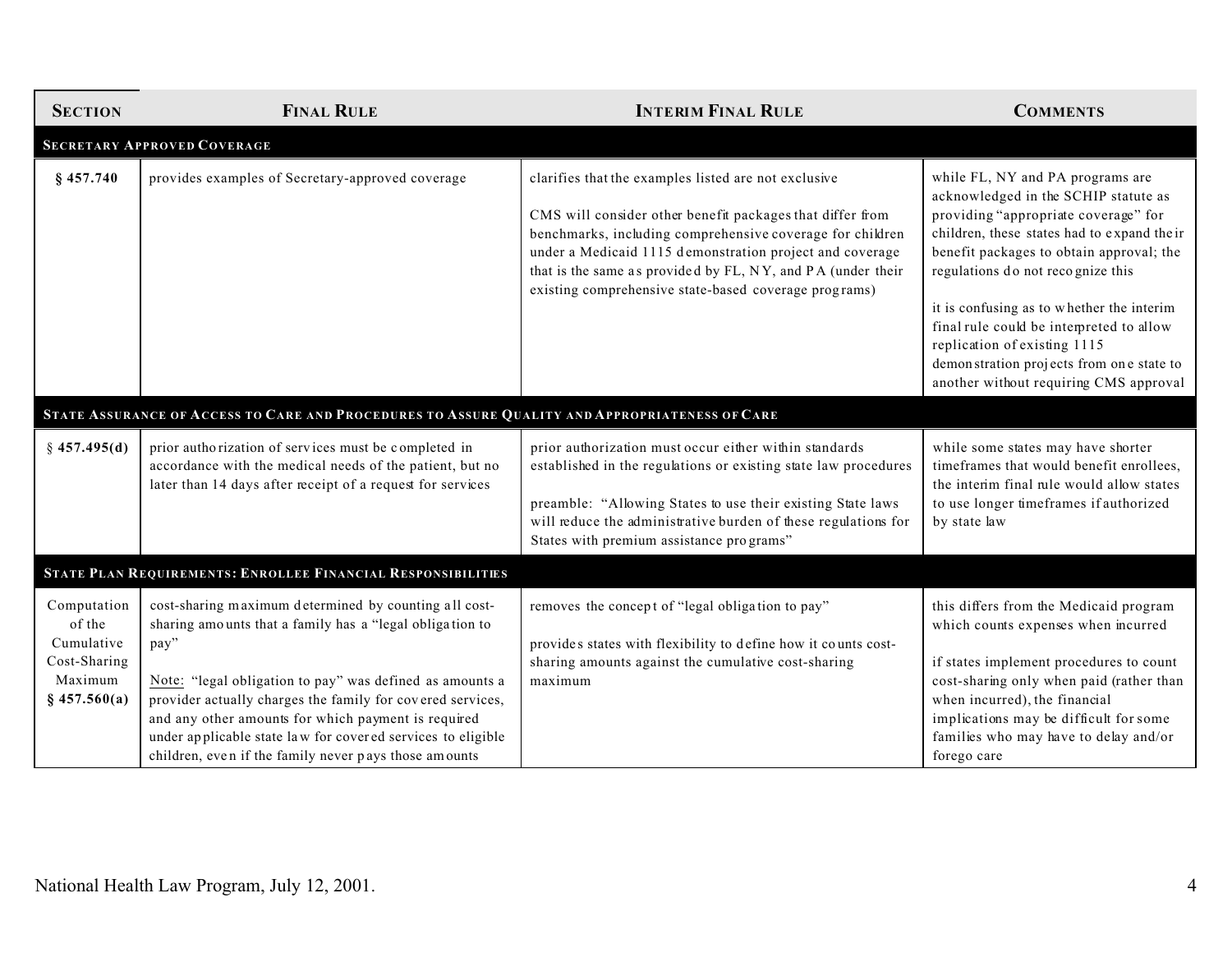| <b>SECTION</b>                                                                   | <b>FINAL RULE</b>                                                                                                                                                                                                                                                                                                                                                                                                                  | <b>INTERIM FINAL RULE</b>                                                                                                                                                                                                                                                                                                                                          | <b>COMMENTS</b>                                                                                                                                                                                                                                                                                                                                                                                                                                                 |
|----------------------------------------------------------------------------------|------------------------------------------------------------------------------------------------------------------------------------------------------------------------------------------------------------------------------------------------------------------------------------------------------------------------------------------------------------------------------------------------------------------------------------|--------------------------------------------------------------------------------------------------------------------------------------------------------------------------------------------------------------------------------------------------------------------------------------------------------------------------------------------------------------------|-----------------------------------------------------------------------------------------------------------------------------------------------------------------------------------------------------------------------------------------------------------------------------------------------------------------------------------------------------------------------------------------------------------------------------------------------------------------|
|                                                                                  | <b>SECRETARY APPROVED COVERAGE</b>                                                                                                                                                                                                                                                                                                                                                                                                 |                                                                                                                                                                                                                                                                                                                                                                    |                                                                                                                                                                                                                                                                                                                                                                                                                                                                 |
| $§$ 457.740                                                                      | provides examples of Secretary-approved coverage                                                                                                                                                                                                                                                                                                                                                                                   | clarifies that the examples listed are not exclusive<br>CMS will consider other benefit packages that differ from<br>benchmarks, including comprehensive coverage for children<br>under a Medicaid 1115 demonstration project and coverage<br>that is the same as provided by FL, NY, and PA (under their<br>existing comprehensive state-based coverage programs) | while FL, NY and PA programs are<br>acknowledged in the SCHIP statute as<br>providing "appropriate coverage" for<br>children, these states had to expand the ir<br>benefit packages to obtain approval; the<br>regulations do not recognize this<br>it is confusing as to whether the interim<br>final rule could be interpreted to allow<br>replication of existing 1115<br>demonstration projects from one state to<br>another without requiring CMS approval |
|                                                                                  | STATE ASSURANCE OF ACCESS TO CARE AND PROCEDURES TO ASSURE QUALITY AND APPROPRIATENESS OF CARE                                                                                                                                                                                                                                                                                                                                     |                                                                                                                                                                                                                                                                                                                                                                    |                                                                                                                                                                                                                                                                                                                                                                                                                                                                 |
| § 457.495(d)                                                                     | prior authorization of services must be completed in<br>accordance with the medical needs of the patient, but no<br>later than 14 days after receipt of a request for services                                                                                                                                                                                                                                                     | prior authorization must occur either within standards<br>established in the regulations or existing state law procedures<br>preamble: "Allowing States to use their existing State laws<br>will reduce the administrative burden of these regulations for<br>States with premium assistance programs"                                                             | while some states may have shorter<br>timeframes that would benefit enrollees,<br>the interim final rule would allow states<br>to use longer timeframes if authorized<br>by state law                                                                                                                                                                                                                                                                           |
|                                                                                  | STATE PLAN REQUIREMENTS: ENROLLEE FINANCIAL RESPONSIBILITIES                                                                                                                                                                                                                                                                                                                                                                       |                                                                                                                                                                                                                                                                                                                                                                    |                                                                                                                                                                                                                                                                                                                                                                                                                                                                 |
| Computation<br>of the<br>Cumulative<br>Cost-Sharing<br>Maximum<br>$§$ 457.560(a) | cost-sharing maximum determined by counting all cost-<br>sharing amounts that a family has a "legal obligation to<br>pay"<br>Note: "legal obligation to pay" was defined as amounts a<br>provider actually charges the family for covered services,<br>and any other amounts for which payment is required<br>under applicable state law for covered services to eligible<br>children, even if the family never pays those amounts | removes the concept of "legal obligation to pay"<br>provides states with flexibility to define how it counts cost-<br>sharing amounts against the cumulative cost-sharing<br>maximum                                                                                                                                                                               | this differs from the Medicaid program<br>which counts expenses when incurred<br>if states implement procedures to count<br>cost-sharing only when paid (rather than<br>when incurred), the financial<br>implications may be difficult for some<br>families who may have to delay and/or<br>forego care                                                                                                                                                         |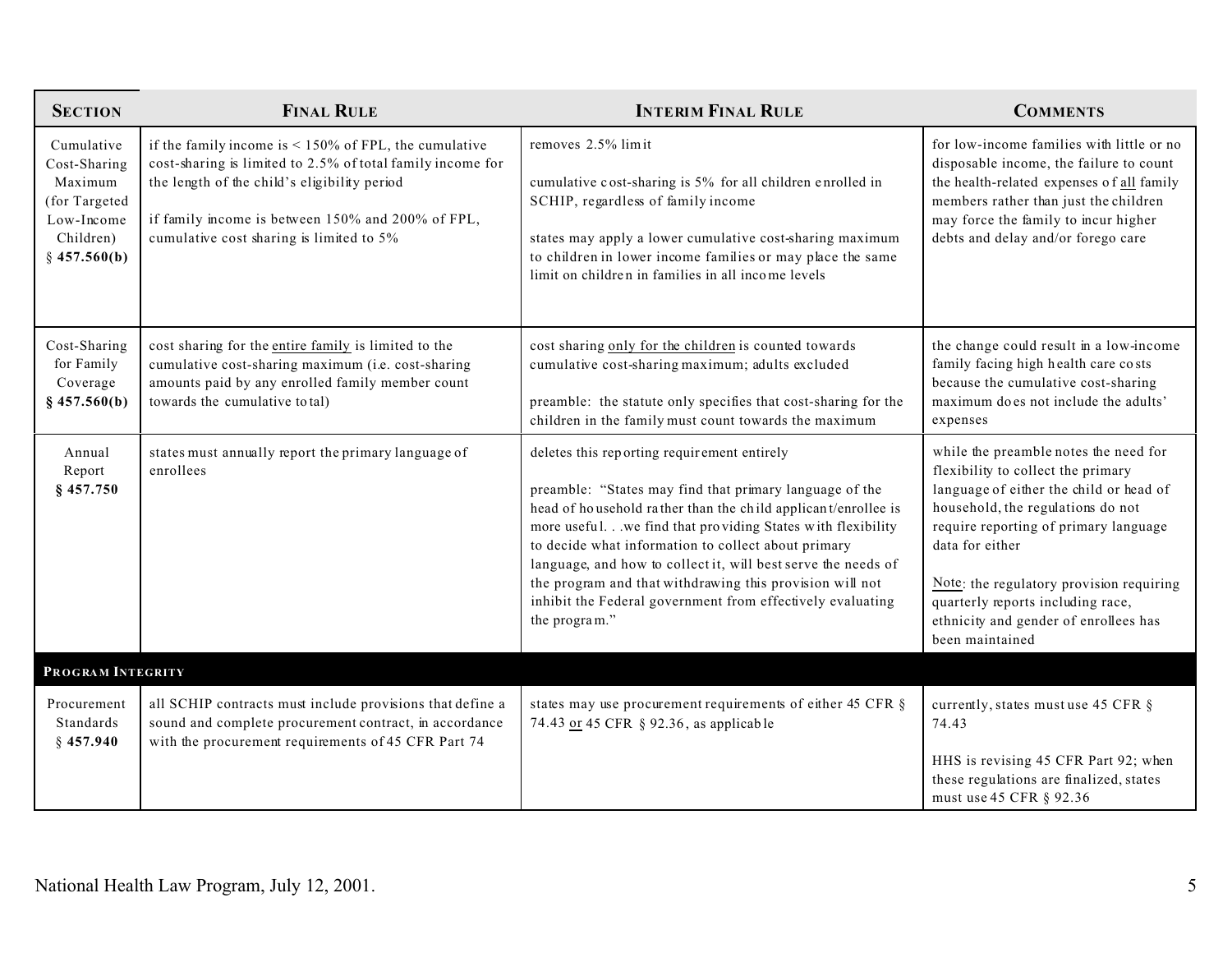| <b>SECTION</b>                                                                                      | <b>FINAL RULE</b>                                                                                                                                                                                                                                                          | <b>INTERIM FINAL RULE</b>                                                                                                                                                                                                                                                                                                                                                                                                                                                                                | <b>COMMENTS</b>                                                                                                                                                                                                                                                                                                                                                      |
|-----------------------------------------------------------------------------------------------------|----------------------------------------------------------------------------------------------------------------------------------------------------------------------------------------------------------------------------------------------------------------------------|----------------------------------------------------------------------------------------------------------------------------------------------------------------------------------------------------------------------------------------------------------------------------------------------------------------------------------------------------------------------------------------------------------------------------------------------------------------------------------------------------------|----------------------------------------------------------------------------------------------------------------------------------------------------------------------------------------------------------------------------------------------------------------------------------------------------------------------------------------------------------------------|
| Cumulative<br>Cost-Sharing<br>Maximum<br>(for Targeted<br>Low-Income<br>Children)<br>$§$ 457.560(b) | if the family income is $\leq 150\%$ of FPL, the cumulative<br>cost-sharing is limited to 2.5% of total family income for<br>the length of the child's eligibility period<br>if family income is between 150% and 200% of FPL,<br>cumulative cost sharing is limited to 5% | removes 2.5% limit<br>cumulative cost-sharing is 5% for all children enrolled in<br>SCHIP, regardless of family income<br>states may apply a lower cumulative cost-sharing maximum<br>to children in lower income families or may place the same<br>limit on children in families in all income levels                                                                                                                                                                                                   | for low-income families with little or no<br>disposable income, the failure to count<br>the health-related expenses of all family<br>members rather than just the children<br>may force the family to incur higher<br>debts and delay and/or forego care                                                                                                             |
| Cost-Sharing<br>for Family<br>Coverage<br>$§$ 457.560(b)                                            | cost sharing for the entire family is limited to the<br>cumulative cost-sharing maximum (i.e. cost-sharing<br>amounts paid by any enrolled family member count<br>towards the cumulative total)                                                                            | cost sharing only for the children is counted towards<br>cumulative cost-sharing maximum; adults excluded<br>preamble: the statute only specifies that cost-sharing for the<br>children in the family must count towards the maximum                                                                                                                                                                                                                                                                     | the change could result in a low-income<br>family facing high health care costs<br>because the cumulative cost-sharing<br>maximum does not include the adults'<br>expenses                                                                                                                                                                                           |
| Annual<br>Report<br>§ 457.750                                                                       | states must annually report the primary language of<br>enrollees                                                                                                                                                                                                           | deletes this reporting requirement entirely<br>preamble: "States may find that primary language of the<br>head of household rather than the child applicant/enrollee is<br>more useful.we find that providing States with flexibility<br>to decide what information to collect about primary<br>language, and how to collect it, will best serve the needs of<br>the program and that withdrawing this provision will not<br>inhibit the Federal government from effectively evaluating<br>the program." | while the preamble notes the need for<br>flexibility to collect the primary<br>language of either the child or head of<br>household, the regulations do not<br>require reporting of primary language<br>data for either<br>Note: the regulatory provision requiring<br>quarterly reports including race,<br>ethnicity and gender of enrollees has<br>been maintained |
| PROGRAM INTEGRITY                                                                                   |                                                                                                                                                                                                                                                                            |                                                                                                                                                                                                                                                                                                                                                                                                                                                                                                          |                                                                                                                                                                                                                                                                                                                                                                      |
| Procurement<br>Standards<br>$§$ 457.940                                                             | all SCHIP contracts must include provisions that define a<br>sound and complete procurement contract, in accordance<br>with the procurement requirements of 45 CFR Part 74                                                                                                 | states may use procurement requirements of either 45 CFR §<br>74.43 or 45 CFR § 92.36, as applicable                                                                                                                                                                                                                                                                                                                                                                                                     | currently, states must use 45 CFR §<br>74.43<br>HHS is revising 45 CFR Part 92; when<br>these regulations are finalized, states<br>must use 45 CFR § 92.36                                                                                                                                                                                                           |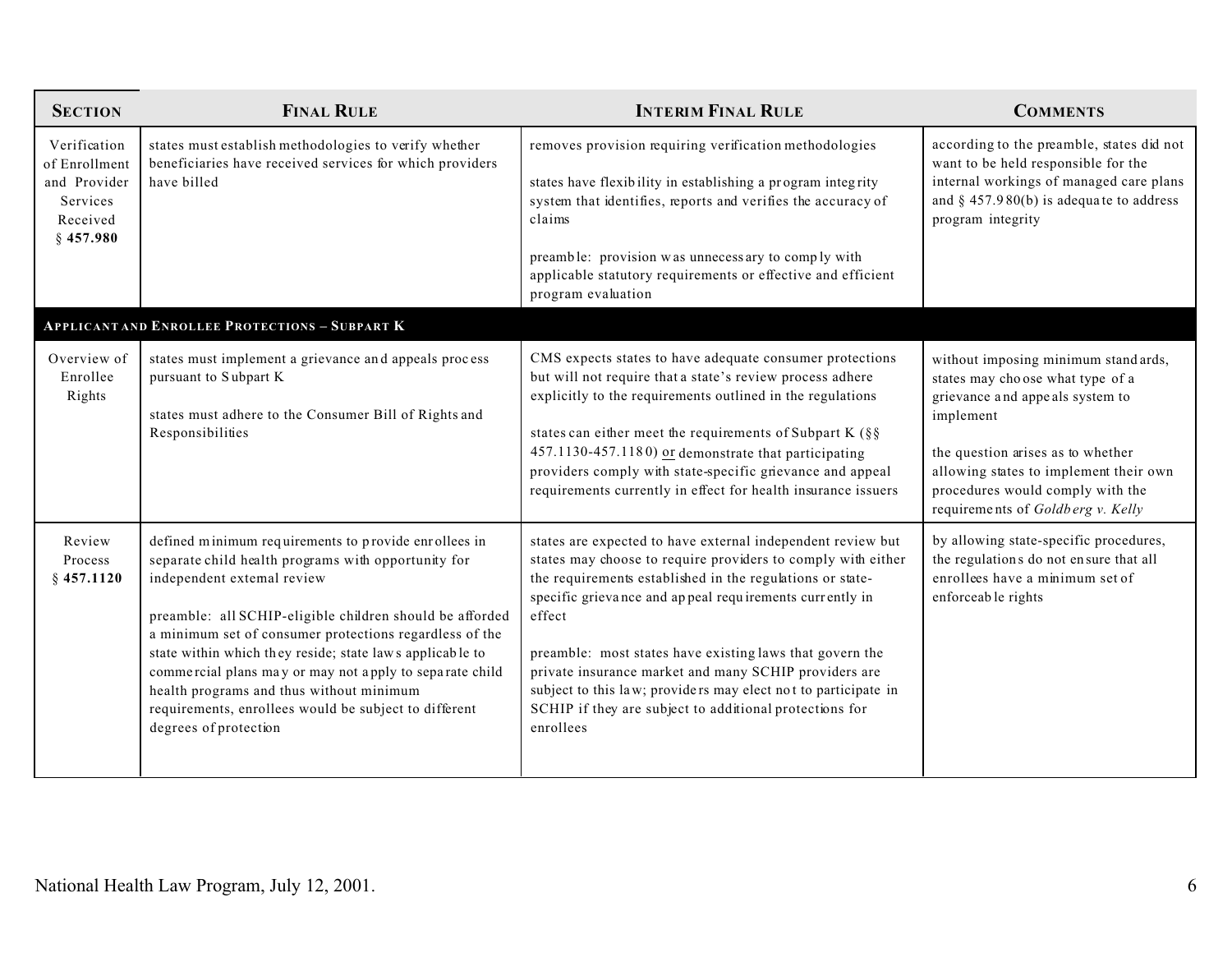| <b>SECTION</b>                                                                       | <b>FINAL RULE</b>                                                                                                                                                                                                                                                                                                                                                                                                                                                                                                     | <b>INTERIM FINAL RULE</b>                                                                                                                                                                                                                                                                                                                                                                                                                                                                                                    | <b>COMMENTS</b>                                                                                                                                                                                                                                                                 |
|--------------------------------------------------------------------------------------|-----------------------------------------------------------------------------------------------------------------------------------------------------------------------------------------------------------------------------------------------------------------------------------------------------------------------------------------------------------------------------------------------------------------------------------------------------------------------------------------------------------------------|------------------------------------------------------------------------------------------------------------------------------------------------------------------------------------------------------------------------------------------------------------------------------------------------------------------------------------------------------------------------------------------------------------------------------------------------------------------------------------------------------------------------------|---------------------------------------------------------------------------------------------------------------------------------------------------------------------------------------------------------------------------------------------------------------------------------|
| Verification<br>of Enrollment<br>and Provider<br>Services<br>Received<br>$§$ 457.980 | states must establish methodologies to verify whether<br>beneficiaries have received services for which providers<br>have billed<br><b>APPLICANT AND ENROLLEE PROTECTIONS - SUBPART K</b>                                                                                                                                                                                                                                                                                                                             | removes provision requiring verification methodologies<br>states have flexibility in establishing a program integrity<br>system that identifies, reports and verifies the accuracy of<br>claims<br>preamble: provision was unnecessary to comply with<br>applicable statutory requirements or effective and efficient<br>program evaluation                                                                                                                                                                                  | according to the preamble, states did not<br>want to be held responsible for the<br>internal workings of managed care plans<br>and $§$ 457.980(b) is adequate to address<br>program integrity                                                                                   |
| Overview of<br>Enrollee<br>Rights                                                    | states must implement a grievance and appeals process<br>pursuant to Subpart K<br>states must adhere to the Consumer Bill of Rights and<br>Responsibilities                                                                                                                                                                                                                                                                                                                                                           | CMS expects states to have adequate consumer protections<br>but will not require that a state's review process adhere<br>explicitly to the requirements outlined in the regulations<br>states can either meet the requirements of Subpart K (§§<br>457.1130-457.1180) or demonstrate that participating<br>providers comply with state-specific grievance and appeal<br>requirements currently in effect for health insurance issuers                                                                                        | without imposing minimum standards,<br>states may choose what type of a<br>grievance and appeals system to<br>implement<br>the question arises as to whether<br>allowing states to implement their own<br>procedures would comply with the<br>requirements of Goldberg v. Kelly |
| Review<br>Process<br>$§$ 457.1120                                                    | defined minimum requirements to provide enrollees in<br>separate child health programs with opportunity for<br>independent extemal review<br>preamble: all SCHIP-eligible children should be afforded<br>a minimum set of consumer protections regardless of the<br>state within which they reside; state laws applicable to<br>commercial plans may or may not apply to separate child<br>health programs and thus without minimum<br>requirements, enrollees would be subject to different<br>degrees of protection | states are expected to have external independent review but<br>states may choose to require providers to comply with either<br>the requirements established in the regulations or state-<br>specific grievance and appeal requirements currently in<br>effect<br>preamble: most states have existing laws that govern the<br>private insurance market and many SCHIP providers are<br>subject to this law; providers may elect not to participate in<br>SCHIP if they are subject to additional protections for<br>enrollees | by allowing state-specific procedures,<br>the regulations do not ensure that all<br>enrollees have a minimum set of<br>enforceable rights                                                                                                                                       |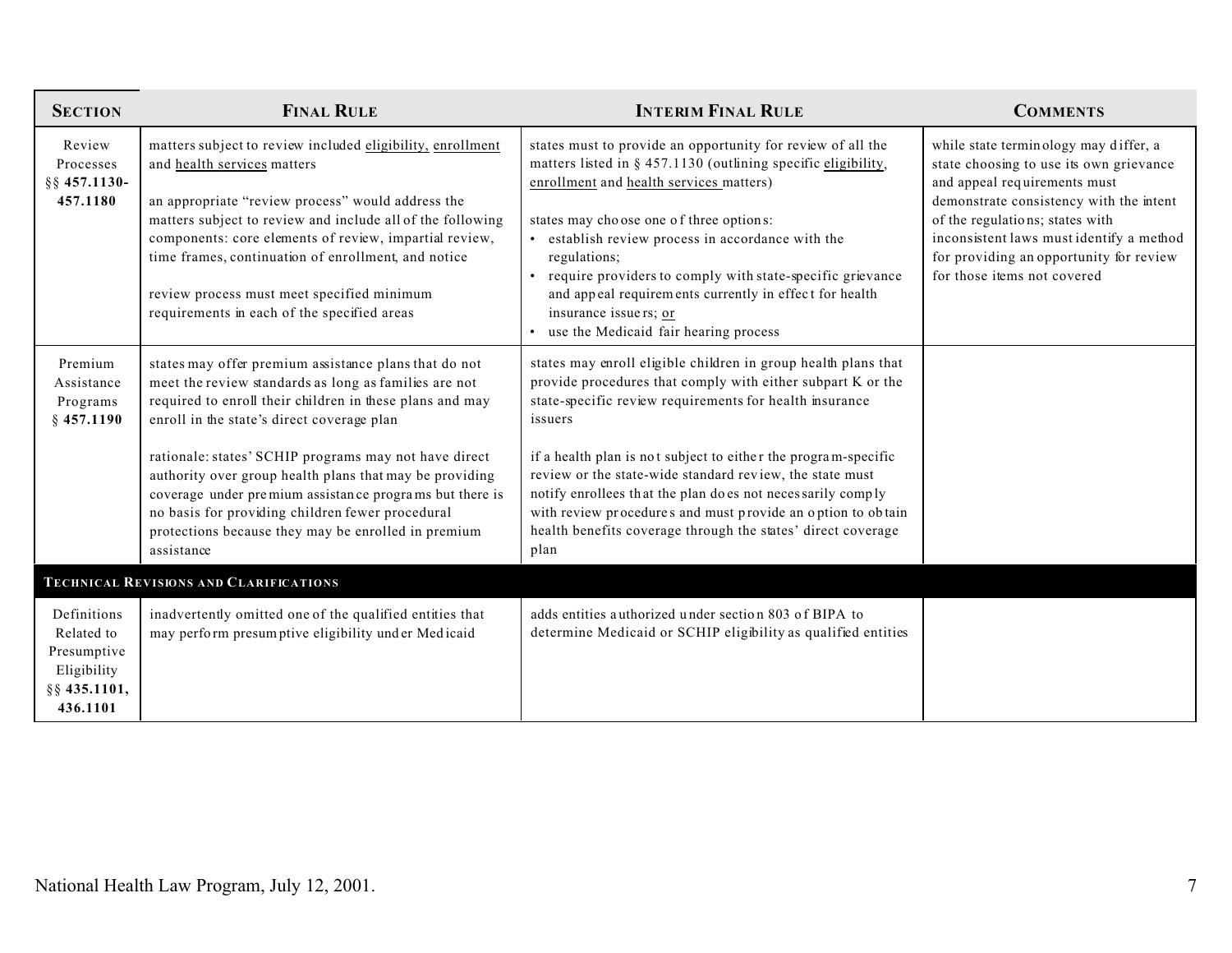| <b>SECTION</b>                                                                      | <b>FINAL RULE</b>                                                                                                                                                                                                                                                                                                                                                                                                                                                                                                                | <b>INTERIM FINAL RULE</b>                                                                                                                                                                                                                                                                                                                                                                                                                                                                                                                | <b>COMMENTS</b>                                                                                                                                                                                                                                                                                                      |
|-------------------------------------------------------------------------------------|----------------------------------------------------------------------------------------------------------------------------------------------------------------------------------------------------------------------------------------------------------------------------------------------------------------------------------------------------------------------------------------------------------------------------------------------------------------------------------------------------------------------------------|------------------------------------------------------------------------------------------------------------------------------------------------------------------------------------------------------------------------------------------------------------------------------------------------------------------------------------------------------------------------------------------------------------------------------------------------------------------------------------------------------------------------------------------|----------------------------------------------------------------------------------------------------------------------------------------------------------------------------------------------------------------------------------------------------------------------------------------------------------------------|
| Review<br>Processes<br>§§ 457.1130-<br>457.1180                                     | matters subject to review included eligibility, enrollment<br>and health services matters<br>an appropriate "review process" would address the<br>matters subject to review and include all of the following<br>components: core elements of review, impartial review,<br>time frames, continuation of enrollment, and notice<br>review process must meet specified minimum<br>requirements in each of the specified areas                                                                                                       | states must to provide an opportunity for review of all the<br>matters listed in § 457.1130 (outlining specific eligibility,<br>enrollment and health services matters)<br>states may choose one of three options:<br>• establish review process in accordance with the<br>regulations;<br>• require providers to comply with state-specific grievance<br>and appeal requirements currently in effect for health<br>insurance issuers; or<br>• use the Medicaid fair hearing process                                                     | while state terminology may differ, a<br>state choosing to use its own grievance<br>and appeal requirements must<br>demonstrate consistency with the intent<br>of the regulations; states with<br>inconsistent laws must identify a method<br>for providing an opportunity for review<br>for those items not covered |
| Premium<br>Assistance<br>Programs<br>$§$ 457.1190                                   | states may offer premium assistance plans that do not<br>meet the review standards as long as families are not<br>required to enroll their children in these plans and may<br>enroll in the state's direct coverage plan<br>rationale: states' SCHIP programs may not have direct<br>authority over group health plans that may be providing<br>coverage under premium assistance programs but there is<br>no basis for providing children fewer procedural<br>protections because they may be enrolled in premium<br>assistance | states may enroll eligible children in group health plans that<br>provide procedures that comply with either subpart K or the<br>state-specific review requirements for health insurance<br>issuers<br>if a health plan is not subject to either the program-specific<br>review or the state-wide standard review, the state must<br>notify enrollees that the plan do es not neces sarily comply<br>with review procedures and must provide an option to obtain<br>health benefits coverage through the states' direct coverage<br>plan |                                                                                                                                                                                                                                                                                                                      |
|                                                                                     | <b>TECHNICAL REVISIONS AND CLARIFICATIONS</b>                                                                                                                                                                                                                                                                                                                                                                                                                                                                                    |                                                                                                                                                                                                                                                                                                                                                                                                                                                                                                                                          |                                                                                                                                                                                                                                                                                                                      |
| Definitions<br>Related to<br>Presumptive<br>Eligibility<br>§§ 435.1101,<br>436.1101 | inadvertently omitted one of the qualified entities that<br>may perform presumptive eligibility under Medicaid                                                                                                                                                                                                                                                                                                                                                                                                                   | adds entities authorized under section 803 of BIPA to<br>determine Medicaid or SCHIP eligibility as qualified entities                                                                                                                                                                                                                                                                                                                                                                                                                   |                                                                                                                                                                                                                                                                                                                      |